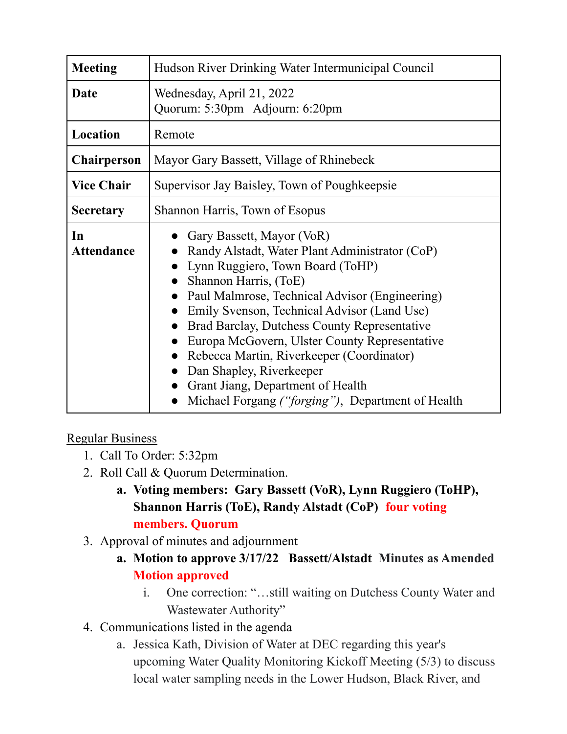| <b>Meeting</b>          | Hudson River Drinking Water Intermunicipal Council                                                                                                                                                                                                                                                                                                                                                                                                                                                            |
|-------------------------|---------------------------------------------------------------------------------------------------------------------------------------------------------------------------------------------------------------------------------------------------------------------------------------------------------------------------------------------------------------------------------------------------------------------------------------------------------------------------------------------------------------|
| Date                    | Wednesday, April 21, 2022<br>Quorum: 5:30pm Adjourn: 6:20pm                                                                                                                                                                                                                                                                                                                                                                                                                                                   |
| Location                | Remote                                                                                                                                                                                                                                                                                                                                                                                                                                                                                                        |
| <b>Chairperson</b>      | Mayor Gary Bassett, Village of Rhinebeck                                                                                                                                                                                                                                                                                                                                                                                                                                                                      |
| <b>Vice Chair</b>       | Supervisor Jay Baisley, Town of Poughkeepsie                                                                                                                                                                                                                                                                                                                                                                                                                                                                  |
| <b>Secretary</b>        | Shannon Harris, Town of Esopus                                                                                                                                                                                                                                                                                                                                                                                                                                                                                |
| In<br><b>Attendance</b> | Gary Bassett, Mayor (VoR)<br>Randy Alstadt, Water Plant Administrator (CoP)<br>Lynn Ruggiero, Town Board (ToHP)<br>Shannon Harris, (ToE)<br>Paul Malmrose, Technical Advisor (Engineering)<br>Emily Svenson, Technical Advisor (Land Use)<br>Brad Barclay, Dutchess County Representative<br>Europa McGovern, Ulster County Representative<br>Rebecca Martin, Riverkeeper (Coordinator)<br>Dan Shapley, Riverkeeper<br>Grant Jiang, Department of Health<br>Michael Forgang ("forging"), Department of Health |

## Regular Business

- 1. Call To Order: 5:32pm
- 2. Roll Call & Quorum Determination.
	- **a. Voting members: Gary Bassett (VoR), Lynn Ruggiero (ToHP), Shannon Harris (ToE), Randy Alstadt (CoP) four voting members. Quorum**
- 3. Approval of minutes and adjournment
	- **a. Motion to approve 3/17/22 Bassett/Alstadt Minutes as Amended Motion approved**
		- i. One correction: "…still waiting on Dutchess County Water and Wastewater Authority"
- 4. Communications listed in the agenda
	- a. Jessica Kath, Division of Water at DEC regarding this year's upcoming Water Quality Monitoring Kickoff Meeting (5/3) to discuss local water sampling needs in the Lower Hudson, Black River, and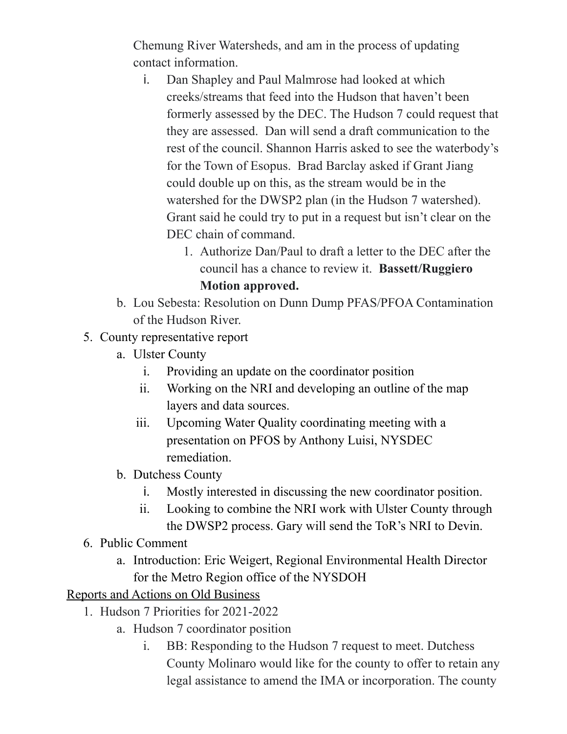Chemung River Watersheds, and am in the process of updating contact information.

- i. Dan Shapley and Paul Malmrose had looked at which creeks/streams that feed into the Hudson that haven't been formerly assessed by the DEC. The Hudson 7 could request that they are assessed. Dan will send a draft communication to the rest of the council. Shannon Harris asked to see the waterbody's for the Town of Esopus. Brad Barclay asked if Grant Jiang could double up on this, as the stream would be in the watershed for the DWSP2 plan (in the Hudson 7 watershed). Grant said he could try to put in a request but isn't clear on the DEC chain of command.
	- 1. Authorize Dan/Paul to draft a letter to the DEC after the council has a chance to review it. **Bassett/Ruggiero Motion approved.**
- b. Lou Sebesta: Resolution on Dunn Dump PFAS/PFOA Contamination of the Hudson River.
- 5. County representative report
	- a. Ulster County
		- i. Providing an update on the coordinator position
		- ii. Working on the NRI and developing an outline of the map layers and data sources.
		- iii. Upcoming Water Quality coordinating meeting with a presentation on PFOS by Anthony Luisi, NYSDEC remediation.
	- b. Dutchess County
		- i. Mostly interested in discussing the new coordinator position.
		- ii. Looking to combine the NRI work with Ulster County through the DWSP2 process. Gary will send the ToR's NRI to Devin.
- 6. Public Comment
	- a. Introduction: Eric Weigert, Regional Environmental Health Director for the Metro Region office of the NYSDOH

Reports and Actions on Old Business

- 1. Hudson 7 Priorities for 2021-2022
	- a. Hudson 7 coordinator position
		- i. BB: Responding to the Hudson 7 request to meet. Dutchess County Molinaro would like for the county to offer to retain any legal assistance to amend the IMA or incorporation. The county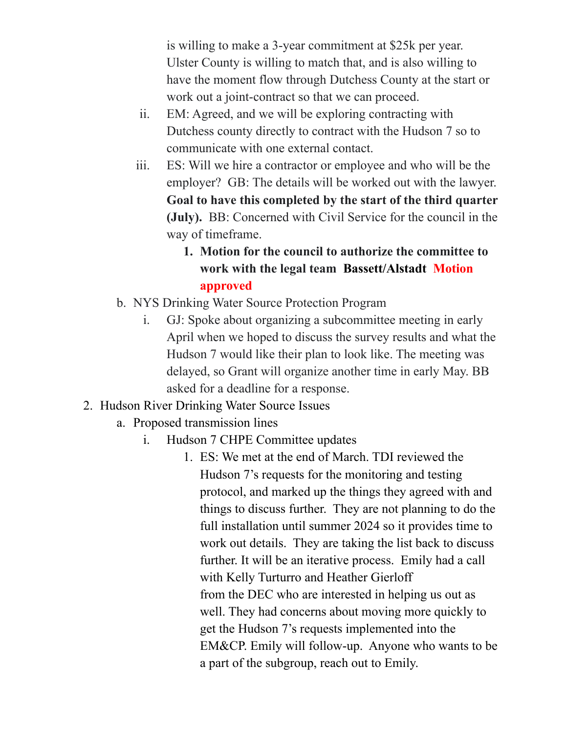is willing to make a 3-year commitment at \$25k per year. Ulster County is willing to match that, and is also willing to have the moment flow through Dutchess County at the start or work out a joint-contract so that we can proceed.

- ii. EM: Agreed, and we will be exploring contracting with Dutchess county directly to contract with the Hudson 7 so to communicate with one external contact.
- iii. ES: Will we hire a contractor or employee and who will be the employer? GB: The details will be worked out with the lawyer. **Goal to have this completed by the start of the third quarter (July).** BB: Concerned with Civil Service for the council in the way of timeframe.

## **1. Motion for the council to authorize the committee to work with the legal team Bassett/Alstadt Motion approved**

- b. NYS Drinking Water Source Protection Program
	- i. GJ: Spoke about organizing a subcommittee meeting in early April when we hoped to discuss the survey results and what the Hudson 7 would like their plan to look like. The meeting was delayed, so Grant will organize another time in early May. BB asked for a deadline for a response.
- 2. Hudson River Drinking Water Source Issues
	- a. Proposed transmission lines
		- i. Hudson 7 CHPE Committee updates
			- 1. ES: We met at the end of March. TDI reviewed the Hudson 7's requests for the monitoring and testing protocol, and marked up the things they agreed with and things to discuss further. They are not planning to do the full installation until summer 2024 so it provides time to work out details. They are taking the list back to discuss further. It will be an iterative process. Emily had a call with Kelly Turturro and Heather Gierloff from the DEC who are interested in helping us out as well. They had concerns about moving more quickly to get the Hudson 7's requests implemented into the EM&CP. Emily will follow-up. Anyone who wants to be a part of the subgroup, reach out to Emily.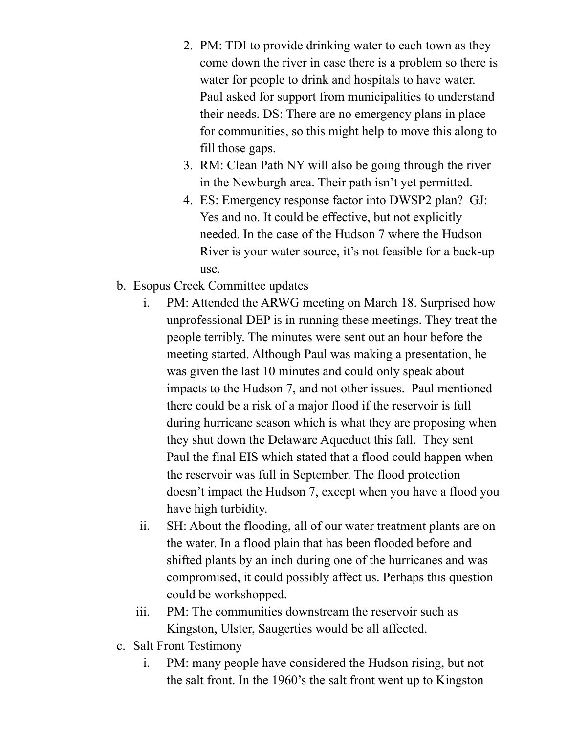- 2. PM: TDI to provide drinking water to each town as they come down the river in case there is a problem so there is water for people to drink and hospitals to have water. Paul asked for support from municipalities to understand their needs. DS: There are no emergency plans in place for communities, so this might help to move this along to fill those gaps.
- 3. RM: Clean Path NY will also be going through the river in the Newburgh area. Their path isn't yet permitted.
- 4. ES: Emergency response factor into DWSP2 plan? GJ: Yes and no. It could be effective, but not explicitly needed. In the case of the Hudson 7 where the Hudson River is your water source, it's not feasible for a back-up use.
- b. Esopus Creek Committee updates
	- i. PM: Attended the ARWG meeting on March 18. Surprised how unprofessional DEP is in running these meetings. They treat the people terribly. The minutes were sent out an hour before the meeting started. Although Paul was making a presentation, he was given the last 10 minutes and could only speak about impacts to the Hudson 7, and not other issues. Paul mentioned there could be a risk of a major flood if the reservoir is full during hurricane season which is what they are proposing when they shut down the Delaware Aqueduct this fall. They sent Paul the final EIS which stated that a flood could happen when the reservoir was full in September. The flood protection doesn't impact the Hudson 7, except when you have a flood you have high turbidity.
	- ii. SH: About the flooding, all of our water treatment plants are on the water. In a flood plain that has been flooded before and shifted plants by an inch during one of the hurricanes and was compromised, it could possibly affect us. Perhaps this question could be workshopped.
	- iii. PM: The communities downstream the reservoir such as Kingston, Ulster, Saugerties would be all affected.
- c. Salt Front Testimony
	- i. PM: many people have considered the Hudson rising, but not the salt front. In the 1960's the salt front went up to Kingston